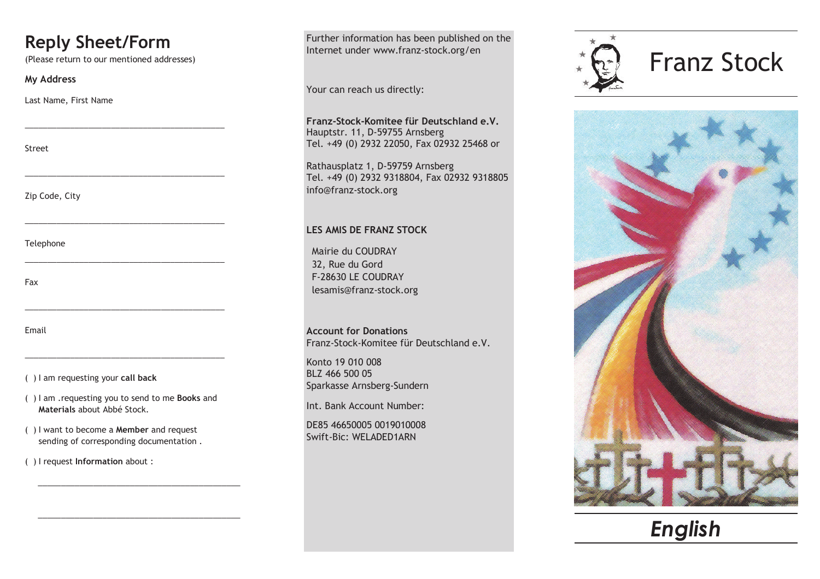## **Reply Sheet/Form**

(Please return to our mentioned addresses)

\_\_\_\_\_\_\_\_\_\_\_\_\_\_\_\_\_\_\_\_\_\_\_\_\_\_\_\_\_\_\_\_\_\_\_\_\_\_\_\_\_\_\_\_

\_\_\_\_\_\_\_\_\_\_\_\_\_\_\_\_\_\_\_\_\_\_\_\_\_\_\_\_\_\_\_\_\_\_\_\_\_\_\_\_\_\_\_\_

\_\_\_\_\_\_\_\_\_\_\_\_\_\_\_\_\_\_\_\_\_\_\_\_\_\_\_\_\_\_\_\_\_\_\_\_\_\_\_\_\_\_\_\_

\_\_\_\_\_\_\_\_\_\_\_\_\_\_\_\_\_\_\_\_\_\_\_\_\_\_\_\_\_\_\_\_\_\_\_\_\_\_\_\_\_\_\_\_

\_\_\_\_\_\_\_\_\_\_\_\_\_\_\_\_\_\_\_\_\_\_\_\_\_\_\_\_\_\_\_\_\_\_\_\_\_\_\_\_\_\_\_\_

\_\_\_\_\_\_\_\_\_\_\_\_\_\_\_\_\_\_\_\_\_\_\_\_\_\_\_\_\_\_\_\_\_\_\_\_\_\_\_\_\_\_\_\_

## **My Address**

Last Name, First Name

Street

Zip Code, City

Telephone

Fax

Email

( ) I am requesting your **call back**

( ) I am .requesting you to send to me **Books** and **Materials** about Abbé Stock.

\_\_\_\_\_\_\_\_\_\_\_\_\_\_\_\_\_\_\_\_\_\_\_\_\_\_\_\_\_\_\_\_\_\_\_\_\_\_\_\_\_\_\_\_

\_\_\_\_\_\_\_\_\_\_\_\_\_\_\_\_\_\_\_\_\_\_\_\_\_\_\_\_\_\_\_\_\_\_\_\_\_\_\_\_\_\_\_\_

- ( ) I want to become a **Member** and request sending of corresponding documentation .
- ( ) I request **Information** about :

Further information has been published on the Internet under www.franz-stock.org/en

Your can reach us directly:

**Franz-Stock-Komitee für Deutschland e.V.** Hauptstr. 11, D-59755 Arnsberg Tel. +49 (0) 2932 22050, Fax 02932 25468 or

Rathausplatz 1, D-59759 Arnsberg Tel. +49 (0) 2932 9318804, Fax 02932 9318805 info@franz-stock.org

## **LES AMIS DE FRANZ STOCK**

Mairie du COUDRAY 32, Rue du Gord F-28630 LE COUDRAY lesamis@franz-stock.org

**Account for Donations** Franz-Stock-Komitee für Deutschland e.V.

Konto 19 010 008 BLZ 466 500 05 Sparkasse Arnsberg-Sundern

Int. Bank Account Number:

DE85 46650005 0019010008 Swift-Bic: WELADED1ARN





*English*